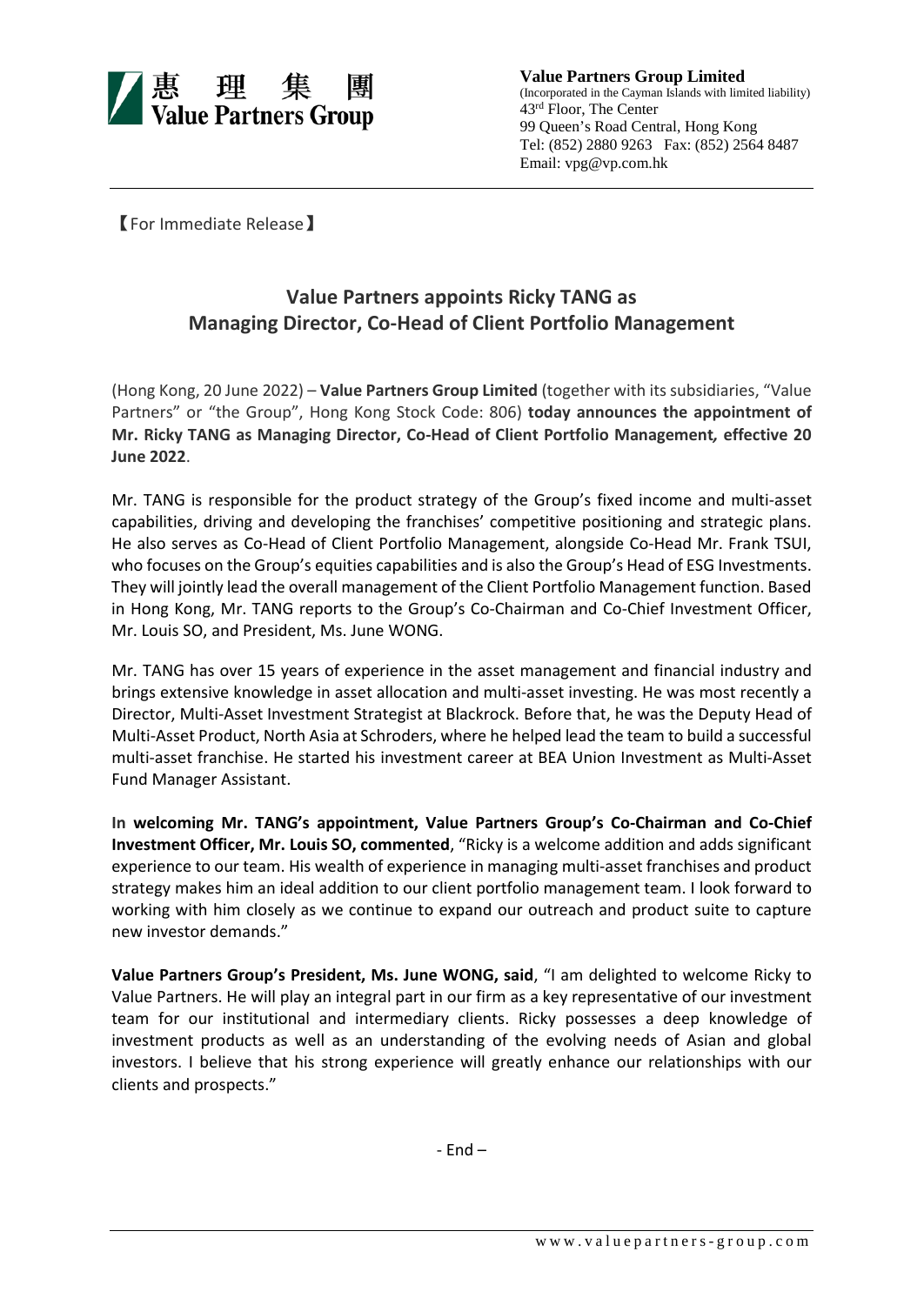

**Value Partners Group Limited** (Incorporated in the Cayman Islands with limited liability) 43rd Floor, The Center 99 Queen's Road Central, Hong Kong Tel: (852) 2880 9263 Fax: (852) 2564 8487 Email: vpg@vp.com.hk

【For Immediate Release】

## **Value Partners appoints Ricky TANG as Managing Director, Co-Head of Client Portfolio Management**

(Hong Kong, 20 June 2022) – **Value Partners Group Limited** (together with its subsidiaries, "Value Partners" or "the Group", Hong Kong Stock Code: 806) **today announces the appointment of Mr. Ricky TANG as Managing Director, Co-Head of Client Portfolio Management***,* **effective 20 June 2022**.

Mr. TANG is responsible for the product strategy of the Group's fixed income and multi-asset capabilities, driving and developing the franchises' competitive positioning and strategic plans. He also serves as Co-Head of Client Portfolio Management, alongside Co-Head Mr. Frank TSUI, who focuses on the Group's equities capabilities and is also the Group's Head of ESG Investments. They will jointly lead the overall management of the Client Portfolio Management function. Based in Hong Kong, Mr. TANG reports to the Group's Co-Chairman and Co-Chief Investment Officer, Mr. Louis SO, and President, Ms. June WONG.

Mr. TANG has over 15 years of experience in the asset management and financial industry and brings extensive knowledge in asset allocation and multi-asset investing. He was most recently a Director, Multi-Asset Investment Strategist at Blackrock. Before that, he was the Deputy Head of Multi-Asset Product, North Asia at Schroders, where he helped lead the team to build a successful multi-asset franchise. He started his investment career at BEA Union Investment as Multi-Asset Fund Manager Assistant.

**In welcoming Mr. TANG's appointment, Value Partners Group's Co-Chairman and Co-Chief Investment Officer, Mr. Louis SO, commented**, "Ricky is a welcome addition and adds significant experience to our team. His wealth of experience in managing multi-asset franchises and product strategy makes him an ideal addition to our client portfolio management team. I look forward to working with him closely as we continue to expand our outreach and product suite to capture new investor demands."

**Value Partners Group's President, Ms. June WONG, said**, "I am delighted to welcome Ricky to Value Partners. He will play an integral part in our firm as a key representative of our investment team for our institutional and intermediary clients. Ricky possesses a deep knowledge of investment products as well as an understanding of the evolving needs of Asian and global investors. I believe that his strong experience will greatly enhance our relationships with our clients and prospects."

- End –